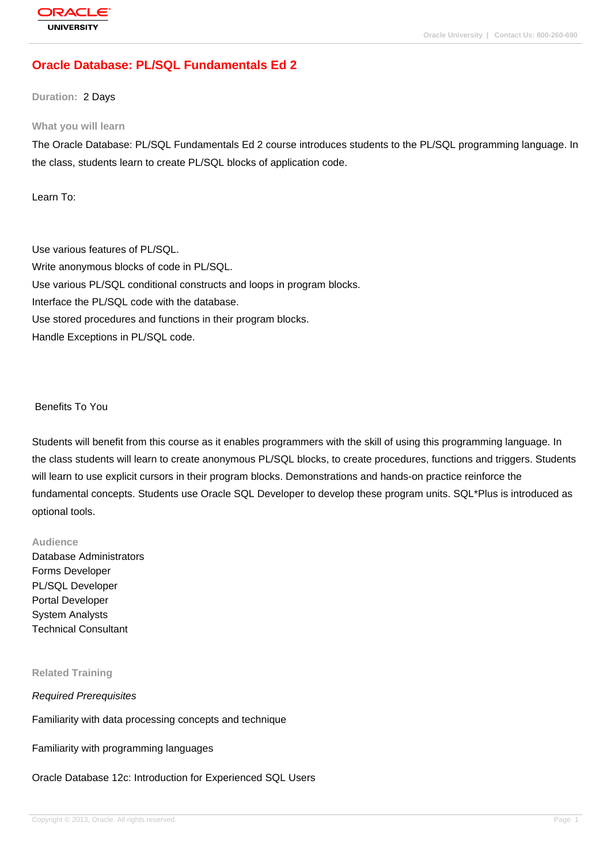# **[Oracle Databas](http://education.oracle.com/pls/web_prod-plq-dad/db_pages.getpage?page_id=3)e: PL/SQL Fundamentals Ed 2**

**Duration:** 2 Days

#### **What you will learn**

The Oracle Database: PL/SQL Fundamentals Ed 2 course introduces students to the PL/SQL programming language. In the class, students learn to create PL/SQL blocks of application code.

Learn To:

Use various features of PL/SQL. Write anonymous blocks of code in PL/SQL. Use various PL/SQL conditional constructs and loops in program blocks. Interface the PL/SQL code with the database. Use stored procedures and functions in their program blocks. Handle Exceptions in PL/SQL code.

#### Benefits To You

Students will benefit from this course as it enables programmers with the skill of using this programming language. In the class students will learn to create anonymous PL/SQL blocks, to create procedures, functions and triggers. Students will learn to use explicit cursors in their program blocks. Demonstrations and hands-on practice reinforce the fundamental concepts. Students use Oracle SQL Developer to develop these program units. SQL\*Plus is introduced as optional tools.

### **Audience**

Database Administrators Forms Developer PL/SQL Developer Portal Developer System Analysts Technical Consultant

#### **Related Training**

#### Required Prerequisites

Familiarity with data processing concepts and technique

Familiarity with programming languages

#### Oracle Database 12c: Introduction for Experienced SQL Users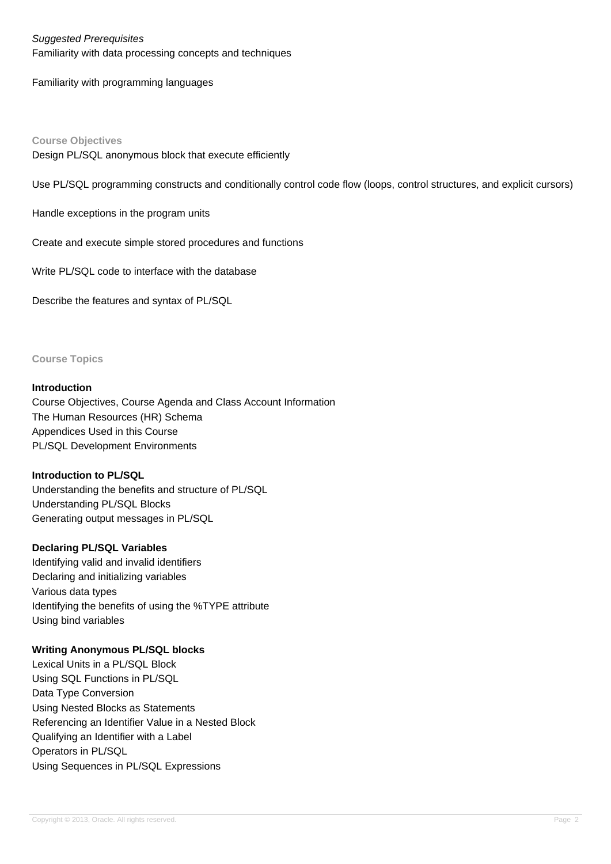### Suggested Prerequisites

Familiarity with data processing concepts and techniques

Familiarity with programming languages

**Course Objectives** Design PL/SQL anonymous block that execute efficiently

Use PL/SQL programming constructs and conditionally control code flow (loops, control structures, and explicit cursors)

Handle exceptions in the program units

Create and execute simple stored procedures and functions

Write PL/SQL code to interface with the database

Describe the features and syntax of PL/SQL

**Course Topics**

### **Introduction**

Course Objectives, Course Agenda and Class Account Information The Human Resources (HR) Schema Appendices Used in this Course PL/SQL Development Environments

#### **Introduction to PL/SQL**

Understanding the benefits and structure of PL/SQL Understanding PL/SQL Blocks Generating output messages in PL/SQL

### **Declaring PL/SQL Variables**

Identifying valid and invalid identifiers Declaring and initializing variables Various data types Identifying the benefits of using the %TYPE attribute Using bind variables

### **Writing Anonymous PL/SQL blocks**

Lexical Units in a PL/SQL Block Using SQL Functions in PL/SQL Data Type Conversion Using Nested Blocks as Statements Referencing an Identifier Value in a Nested Block Qualifying an Identifier with a Label Operators in PL/SQL Using Sequences in PL/SQL Expressions